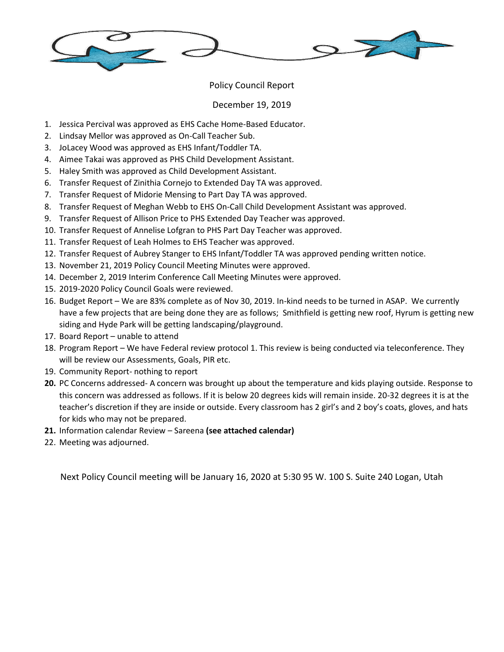

## Policy Council Report

## December 19, 2019

- 1. Jessica Percival was approved as EHS Cache Home-Based Educator.
- 2. Lindsay Mellor was approved as On-Call Teacher Sub.
- 3. JoLacey Wood was approved as EHS Infant/Toddler TA.
- 4. Aimee Takai was approved as PHS Child Development Assistant.
- 5. Haley Smith was approved as Child Development Assistant.
- 6. Transfer Request of Zinithia Cornejo to Extended Day TA was approved.
- 7. Transfer Request of Midorie Mensing to Part Day TA was approved.
- 8. Transfer Request of Meghan Webb to EHS On-Call Child Development Assistant was approved.
- 9. Transfer Request of Allison Price to PHS Extended Day Teacher was approved.
- 10. Transfer Request of Annelise Lofgran to PHS Part Day Teacher was approved.
- 11. Transfer Request of Leah Holmes to EHS Teacher was approved.
- 12. Transfer Request of Aubrey Stanger to EHS Infant/Toddler TA was approved pending written notice.
- 13. November 21, 2019 Policy Council Meeting Minutes were approved.
- 14. December 2, 2019 Interim Conference Call Meeting Minutes were approved.
- 15. 2019-2020 Policy Council Goals were reviewed.
- 16. Budget Report We are 83% complete as of Nov 30, 2019. In-kind needs to be turned in ASAP. We currently have a few projects that are being done they are as follows; Smithfield is getting new roof, Hyrum is getting new siding and Hyde Park will be getting landscaping/playground.
- 17. Board Report unable to attend
- 18. Program Report We have Federal review protocol 1. This review is being conducted via teleconference. They will be review our Assessments, Goals, PIR etc.
- 19. Community Report- nothing to report
- **20.** PC Concerns addressed- A concern was brought up about the temperature and kids playing outside. Response to this concern was addressed as follows. If it is below 20 degrees kids will remain inside. 20-32 degrees it is at the teacher's discretion if they are inside or outside. Every classroom has 2 girl's and 2 boy's coats, gloves, and hats for kids who may not be prepared.
- **21.** Information calendar Review Sareena **(see attached calendar)**
- 22. Meeting was adjourned.

Next Policy Council meeting will be January 16, 2020 at 5:30 95 W. 100 S. Suite 240 Logan, Utah